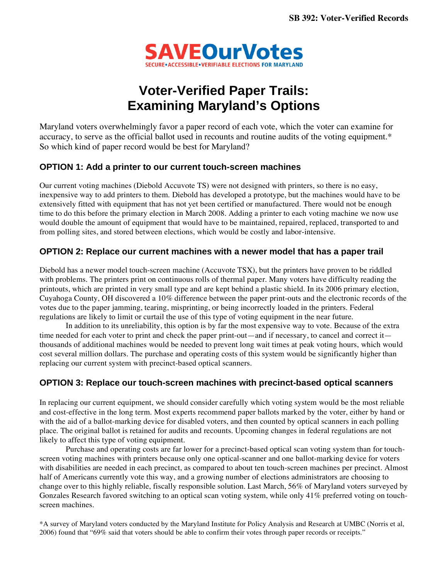

# **Voter-Verified Paper Trails: Examining Maryland's Options**

Maryland voters overwhelmingly favor a paper record of each vote, which the voter can examine for accuracy, to serve as the official ballot used in recounts and routine audits of the voting equipment.\* So which kind of paper record would be best for Maryland?

### **OPTION 1: Add a printer to our current touch-screen machines**

Our current voting machines (Diebold Accuvote TS) were not designed with printers, so there is no easy, inexpensive way to add printers to them. Diebold has developed a prototype, but the machines would have to be extensively fitted with equipment that has not yet been certified or manufactured. There would not be enough time to do this before the primary election in March 2008. Adding a printer to each voting machine we now use would double the amount of equipment that would have to be maintained, repaired, replaced, transported to and from polling sites, and stored between elections, which would be costly and labor-intensive.

### **OPTION 2: Replace our current machines with a newer model that has a paper trail**

Diebold has a newer model touch-screen machine (Accuvote TSX), but the printers have proven to be riddled with problems. The printers print on continuous rolls of thermal paper. Many voters have difficulty reading the printouts, which are printed in very small type and are kept behind a plastic shield. In its 2006 primary election, Cuyahoga County, OH discovered a 10% difference between the paper print-outs and the electronic records of the votes due to the paper jamming, tearing, misprinting, or being incorrectly loaded in the printers. Federal regulations are likely to limit or curtail the use of this type of voting equipment in the near future.

 In addition to its unreliability, this option is by far the most expensive way to vote. Because of the extra time needed for each voter to print and check the paper print-out—and if necessary, to cancel and correct it thousands of additional machines would be needed to prevent long wait times at peak voting hours, which would cost several million dollars. The purchase and operating costs of this system would be significantly higher than replacing our current system with precinct-based optical scanners.

## **OPTION 3: Replace our touch-screen machines with precinct-based optical scanners**

In replacing our current equipment, we should consider carefully which voting system would be the most reliable and cost-effective in the long term. Most experts recommend paper ballots marked by the voter, either by hand or with the aid of a ballot-marking device for disabled voters, and then counted by optical scanners in each polling place. The original ballot is retained for audits and recounts. Upcoming changes in federal regulations are not likely to affect this type of voting equipment.

 Purchase and operating costs are far lower for a precinct-based optical scan voting system than for touchscreen voting machines with printers because only one optical-scanner and one ballot-marking device for voters with disabilities are needed in each precinct, as compared to about ten touch-screen machines per precinct. Almost half of Americans currently vote this way, and a growing number of elections administrators are choosing to change over to this highly reliable, fiscally responsible solution. Last March, 56% of Maryland voters surveyed by Gonzales Research favored switching to an optical scan voting system, while only 41% preferred voting on touchscreen machines.

\*A survey of Maryland voters conducted by the Maryland Institute for Policy Analysis and Research at UMBC (Norris et al, 2006) found that "69% said that voters should be able to confirm their votes through paper records or receipts."